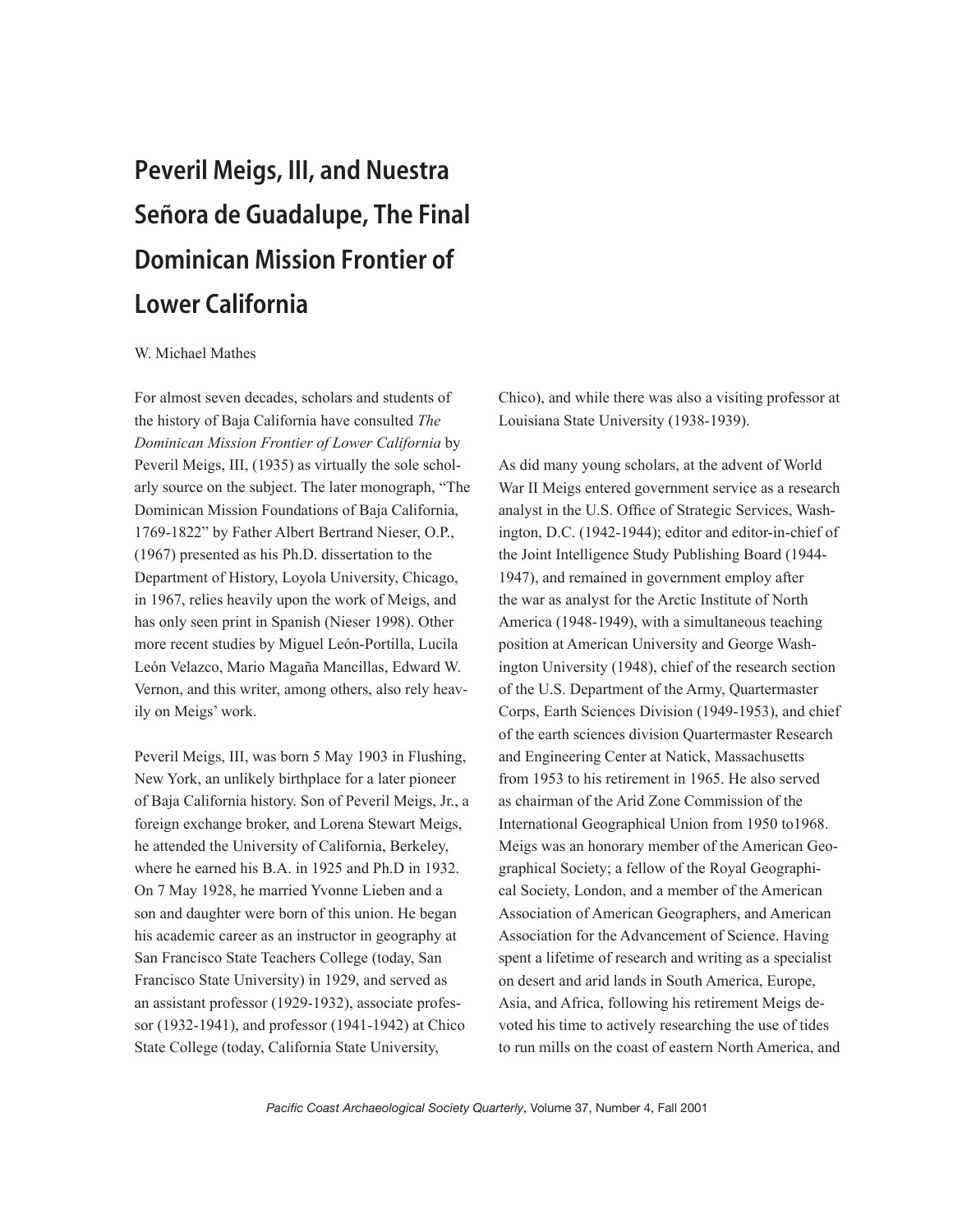## Peveril Meigs, III, and Nuestra Señora de Guadalupe, The Final Dominican Mission Frontier of Lower California

## W. Michael Mathes

For almost seven decades, scholars and students of the history of Baja California have consulted *The Dominican Mission Frontier of Lower California* by Peveril Meigs, III, (1935) as virtually the sole scholarly source on the subject. The later monograph, "The Dominican Mission Foundations of Baja California, 1769-1822" by Father Albert Bertrand Nieser, O.P., (1967) presented as his Ph.D. dissertation to the Department of History, Loyola University, Chicago, in 1967, relies heavily upon the work of Meigs, and has only seen print in Spanish (Nieser 1998). Other more recent studies by Miguel León-Portilla, Lucila León Velazco, Mario Magaña Mancillas, Edward W. Vernon, and this writer, among others, also rely heavily on Meigs' work.

Peveril Meigs, III, was born 5 May 1903 in Flushing, New York, an unlikely birthplace for a later pioneer of Baja California history. Son of Peveril Meigs, Jr., a foreign exchange broker, and Lorena Stewart Meigs, he attended the University of California, Berkeley, where he earned his B.A. in 1925 and Ph.D in 1932. On 7 May 1928, he married Yvonne Lieben and a son and daughter were born of this union. He began his academic career as an instructor in geography at San Francisco State Teachers College (today, San Francisco State University) in 1929, and served as an assistant professor (1929-1932), associate professor (1932-1941), and professor (1941-1942) at Chico State College (today, California State University,

Chico), and while there was also a visiting professor at Louisiana State University (1938-1939).

As did many young scholars, at the advent of World War II Meigs entered government service as a research analyst in the U.S. Office of Strategic Services, Washington, D.C. (1942-1944); editor and editor-in-chief of the Joint Intelligence Study Publishing Board (1944- 1947), and remained in government employ after the war as analyst for the Arctic Institute of North America (1948-1949), with a simultaneous teaching position at American University and George Washington University (1948), chief of the research section of the U.S. Department of the Army, Quartermaster Corps, Earth Sciences Division (1949-1953), and chief of the earth sciences division Quartermaster Research and Engineering Center at Natick, Massachusetts from 1953 to his retirement in 1965. He also served as chairman of the Arid Zone Commission of the International Geographical Union from 1950 to1968. Meigs was an honorary member of the American Geographical Society; a fellow of the Royal Geographical Society, London, and a member of the American Association of American Geographers, and American Association for the Advancement of Science. Having spent a lifetime of research and writing as a specialist on desert and arid lands in South America, Europe, Asia, and Africa, following his retirement Meigs devoted his time to actively researching the use of tides to run mills on the coast of eastern North America, and

*Pacific Coast Archaeological Society Quarterly*, Volume 37, Number 4, Fall 2001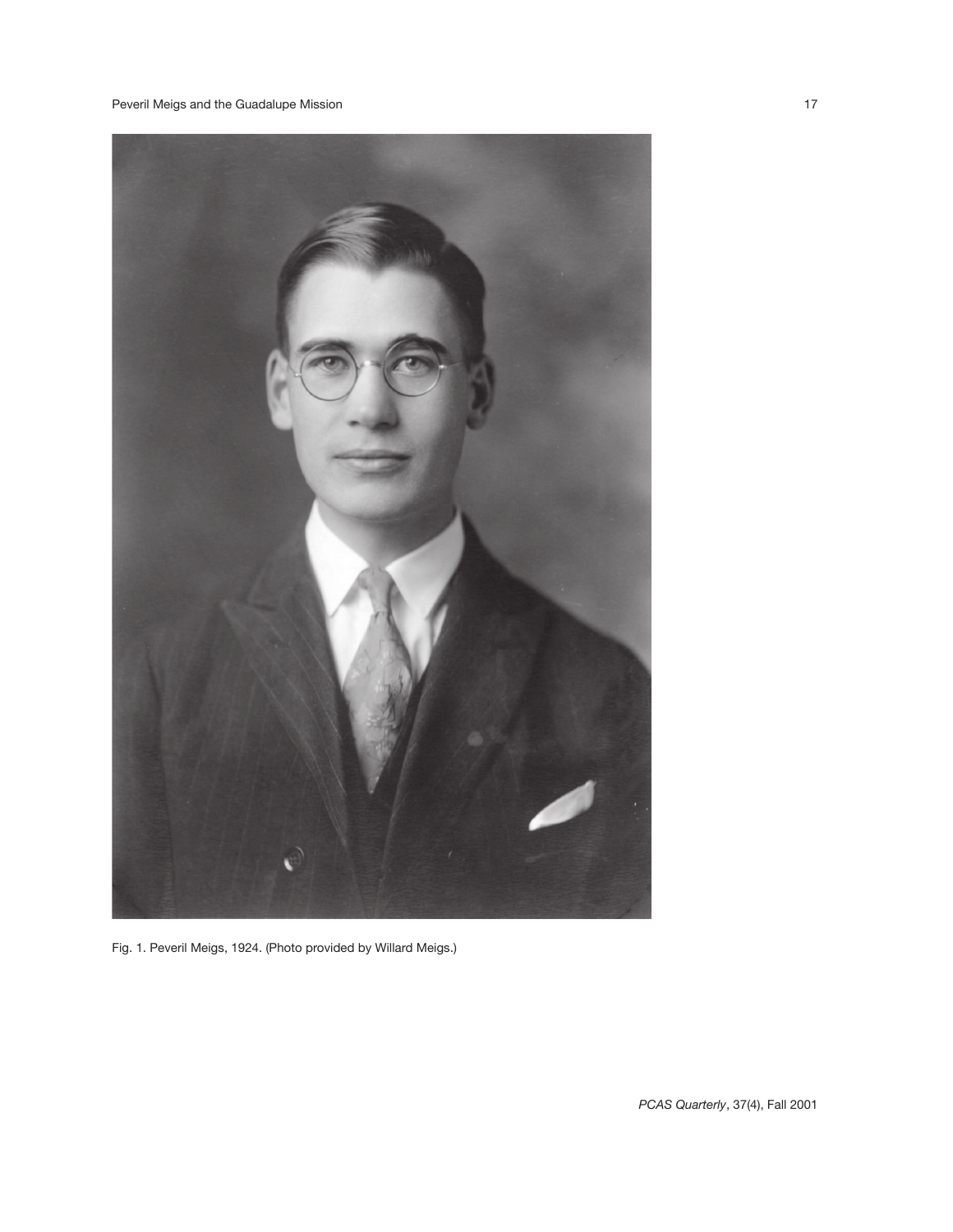

Fig. 1. Peveril Meigs, 1924. (Photo provided by Willard Meigs.)

*PCAS Quarterly*, 37(4), Fall 2001